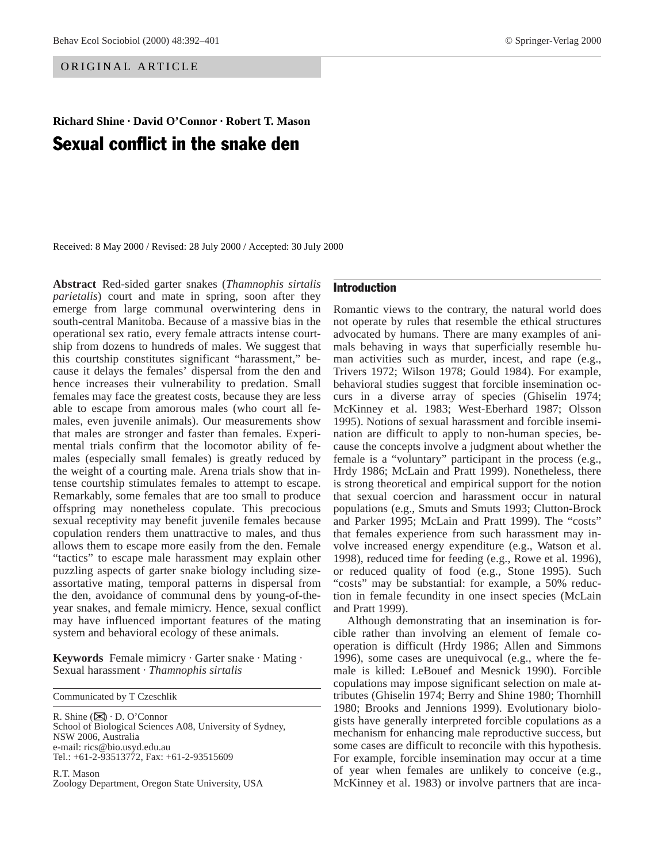# **Richard Shine · David O'Connor · Robert T. Mason** Sexual conflict in the snake den

Received: 8 May 2000 / Revised: 28 July 2000 / Accepted: 30 July 2000

**Abstract** Red-sided garter snakes (*Thamnophis sirtalis parietalis*) court and mate in spring, soon after they emerge from large communal overwintering dens in south-central Manitoba. Because of a massive bias in the operational sex ratio, every female attracts intense courtship from dozens to hundreds of males. We suggest that this courtship constitutes significant "harassment," because it delays the females' dispersal from the den and hence increases their vulnerability to predation. Small females may face the greatest costs, because they are less able to escape from amorous males (who court all females, even juvenile animals). Our measurements show that males are stronger and faster than females. Experimental trials confirm that the locomotor ability of females (especially small females) is greatly reduced by the weight of a courting male. Arena trials show that intense courtship stimulates females to attempt to escape. Remarkably, some females that are too small to produce offspring may nonetheless copulate. This precocious sexual receptivity may benefit juvenile females because copulation renders them unattractive to males, and thus allows them to escape more easily from the den. Female "tactics" to escape male harassment may explain other puzzling aspects of garter snake biology including sizeassortative mating, temporal patterns in dispersal from the den, avoidance of communal dens by young-of-theyear snakes, and female mimicry. Hence, sexual conflict may have influenced important features of the mating system and behavioral ecology of these animals.

**Keywords** Female mimicry · Garter snake · Mating · Sexual harassment · *Thamnophis sirtalis*

Communicated by T Czeschlik

R. Shine (✉) · D. O'Connor School of Biological Sciences A08, University of Sydney, NSW 2006, Australia e-mail: rics@bio.usyd.edu.au Tel.: +61-2-93513772, Fax: +61-2-93515609

R.T. Mason Zoology Department, Oregon State University, USA

# Introduction

Romantic views to the contrary, the natural world does not operate by rules that resemble the ethical structures advocated by humans. There are many examples of animals behaving in ways that superficially resemble human activities such as murder, incest, and rape (e.g., Trivers 1972; Wilson 1978; Gould 1984). For example, behavioral studies suggest that forcible insemination occurs in a diverse array of species (Ghiselin 1974; McKinney et al. 1983; West-Eberhard 1987; Olsson 1995). Notions of sexual harassment and forcible insemination are difficult to apply to non-human species, because the concepts involve a judgment about whether the female is a "voluntary" participant in the process (e.g., Hrdy 1986; McLain and Pratt 1999). Nonetheless, there is strong theoretical and empirical support for the notion that sexual coercion and harassment occur in natural populations (e.g., Smuts and Smuts 1993; Clutton-Brock and Parker 1995; McLain and Pratt 1999). The "costs" that females experience from such harassment may involve increased energy expenditure (e.g., Watson et al. 1998), reduced time for feeding (e.g., Rowe et al. 1996), or reduced quality of food (e.g., Stone 1995). Such "costs" may be substantial: for example, a 50% reduction in female fecundity in one insect species (McLain and Pratt 1999).

Although demonstrating that an insemination is forcible rather than involving an element of female cooperation is difficult (Hrdy 1986; Allen and Simmons 1996), some cases are unequivocal (e.g., where the female is killed: LeBouef and Mesnick 1990). Forcible copulations may impose significant selection on male attributes (Ghiselin 1974; Berry and Shine 1980; Thornhill 1980; Brooks and Jennions 1999). Evolutionary biologists have generally interpreted forcible copulations as a mechanism for enhancing male reproductive success, but some cases are difficult to reconcile with this hypothesis. For example, forcible insemination may occur at a time of year when females are unlikely to conceive (e.g., McKinney et al. 1983) or involve partners that are inca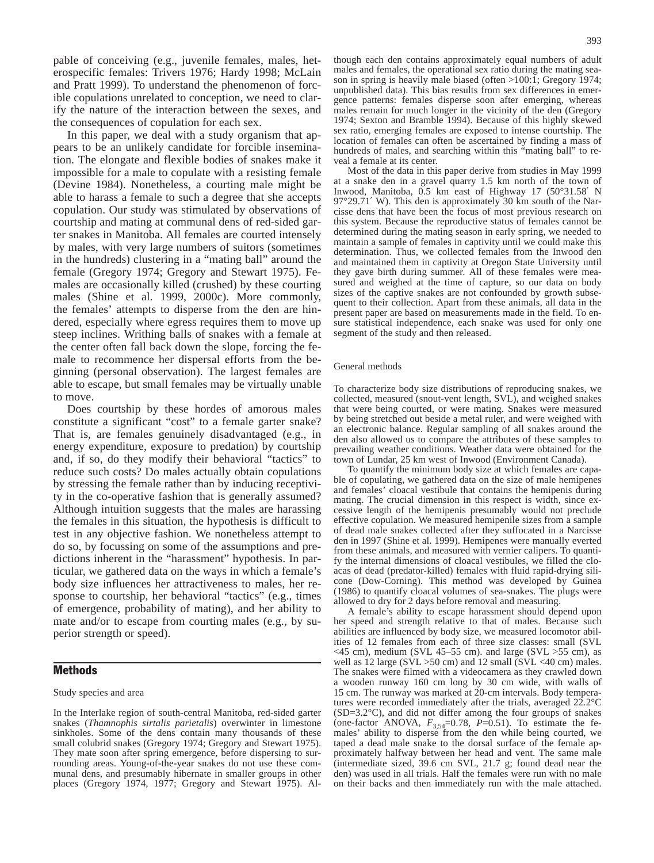pable of conceiving (e.g., juvenile females, males, heterospecific females: Trivers 1976; Hardy 1998; McLain and Pratt 1999). To understand the phenomenon of forcible copulations unrelated to conception, we need to clarify the nature of the interaction between the sexes, and the consequences of copulation for each sex.

In this paper, we deal with a study organism that appears to be an unlikely candidate for forcible insemination. The elongate and flexible bodies of snakes make it impossible for a male to copulate with a resisting female (Devine 1984). Nonetheless, a courting male might be able to harass a female to such a degree that she accepts copulation. Our study was stimulated by observations of courtship and mating at communal dens of red-sided garter snakes in Manitoba. All females are courted intensely by males, with very large numbers of suitors (sometimes in the hundreds) clustering in a "mating ball" around the female (Gregory 1974; Gregory and Stewart 1975). Females are occasionally killed (crushed) by these courting males (Shine et al. 1999, 2000c). More commonly, the females' attempts to disperse from the den are hindered, especially where egress requires them to move up steep inclines. Writhing balls of snakes with a female at the center often fall back down the slope, forcing the female to recommence her dispersal efforts from the beginning (personal observation). The largest females are able to escape, but small females may be virtually unable to move.

Does courtship by these hordes of amorous males constitute a significant "cost" to a female garter snake? That is, are females genuinely disadvantaged (e.g., in energy expenditure, exposure to predation) by courtship and, if so, do they modify their behavioral "tactics" to reduce such costs? Do males actually obtain copulations by stressing the female rather than by inducing receptivity in the co-operative fashion that is generally assumed? Although intuition suggests that the males are harassing the females in this situation, the hypothesis is difficult to test in any objective fashion. We nonetheless attempt to do so, by focussing on some of the assumptions and predictions inherent in the "harassment" hypothesis. In particular, we gathered data on the ways in which a female's body size influences her attractiveness to males, her response to courtship, her behavioral "tactics" (e.g., times of emergence, probability of mating), and her ability to mate and/or to escape from courting males (e.g., by superior strength or speed).

# Methods

### Study species and area

In the Interlake region of south-central Manitoba, red-sided garter snakes (*Thamnophis sirtalis parietalis*) overwinter in limestone sinkholes. Some of the dens contain many thousands of these small colubrid snakes (Gregory 1974; Gregory and Stewart 1975). They mate soon after spring emergence, before dispersing to surrounding areas. Young-of-the-year snakes do not use these communal dens, and presumably hibernate in smaller groups in other places (Gregory 1974, 1977; Gregory and Stewart 1975). Although each den contains approximately equal numbers of adult males and females, the operational sex ratio during the mating season in spring is heavily male biased (often >100:1; Gregory 1974; unpublished data). This bias results from sex differences in emergence patterns: females disperse soon after emerging, whereas males remain for much longer in the vicinity of the den (Gregory 1974; Sexton and Bramble 1994). Because of this highly skewed sex ratio, emerging females are exposed to intense courtship. The location of females can often be ascertained by finding a mass of hundreds of males, and searching within this "mating ball" to reveal a female at its center.

Most of the data in this paper derive from studies in May 1999 at a snake den in a gravel quarry 1.5 km north of the town of Inwood, Manitoba, 0.5 km east of Highway 17 (50°31.58′ N 97°29.71′ W). This den is approximately 30 km south of the Narcisse dens that have been the focus of most previous research on this system. Because the reproductive status of females cannot be determined during the mating season in early spring, we needed to maintain a sample of females in captivity until we could make this determination. Thus, we collected females from the Inwood den and maintained them in captivity at Oregon State University until they gave birth during summer. All of these females were measured and weighed at the time of capture, so our data on body sizes of the captive snakes are not confounded by growth subsequent to their collection. Apart from these animals, all data in the present paper are based on measurements made in the field. To ensure statistical independence, each snake was used for only one segment of the study and then released.

#### General methods

To characterize body size distributions of reproducing snakes, we collected, measured (snout-vent length, SVL), and weighed snakes that were being courted, or were mating. Snakes were measured by being stretched out beside a metal ruler, and were weighed with an electronic balance. Regular sampling of all snakes around the den also allowed us to compare the attributes of these samples to prevailing weather conditions. Weather data were obtained for the town of Lundar, 25 km west of Inwood (Environment Canada).

To quantify the minimum body size at which females are capable of copulating, we gathered data on the size of male hemipenes and females' cloacal vestibule that contains the hemipenis during mating. The crucial dimension in this respect is width, since excessive length of the hemipenis presumably would not preclude effective copulation. We measured hemipenile sizes from a sample of dead male snakes collected after they suffocated in a Narcisse den in 1997 (Shine et al. 1999). Hemipenes were manually everted from these animals, and measured with vernier calipers. To quantify the internal dimensions of cloacal vestibules, we filled the cloacas of dead (predator-killed) females with fluid rapid-drying silicone (Dow-Corning). This method was developed by Guinea (1986) to quantify cloacal volumes of sea-snakes. The plugs were allowed to dry for 2 days before removal and measuring.

A female's ability to escape harassment should depend upon her speed and strength relative to that of males. Because such abilities are influenced by body size, we measured locomotor abilities of 12 females from each of three size classes: small (SVL  $\langle 45 \text{ cm} \rangle$ , medium (SVL 45–55 cm). and large (SVL > 55 cm), as well as 12 large (SVL  $>50$  cm) and 12 small (SVL  $<$ 40 cm) males. The snakes were filmed with a videocamera as they crawled down a wooden runway 160 cm long by 30 cm wide, with walls of 15 cm. The runway was marked at 20-cm intervals. Body temperatures were recorded immediately after the trials, averaged 22.2°C (SD=3.2°C), and did not differ among the four groups of snakes (one-factor ANOVA,  $F_{3,54}=0.78$ ,  $P=0.51$ ). To estimate the females' ability to disperse from the den while being courted, we taped a dead male snake to the dorsal surface of the female approximately halfway between her head and vent. The same male (intermediate sized, 39.6 cm SVL, 21.7 g; found dead near the den) was used in all trials. Half the females were run with no male on their backs and then immediately run with the male attached.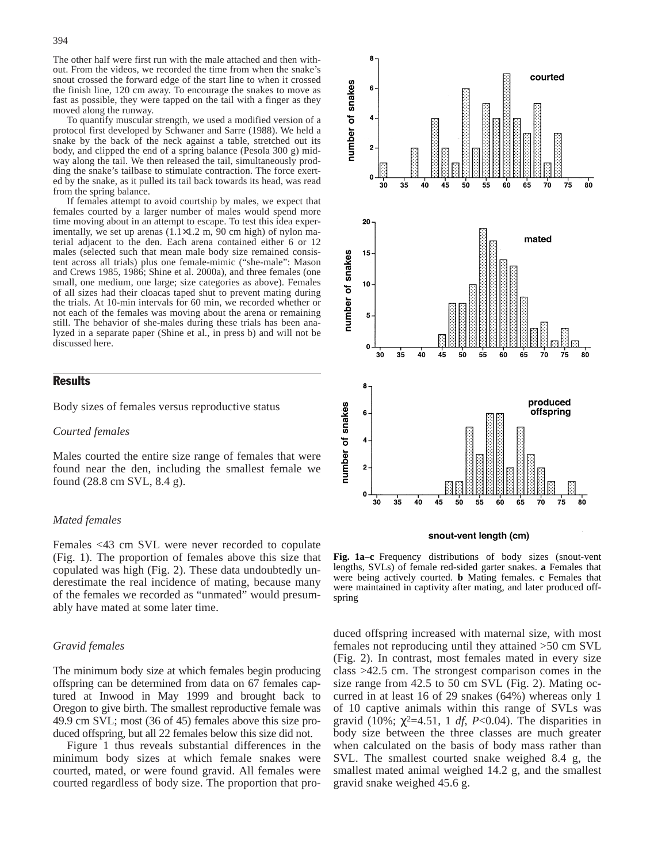The other half were first run with the male attached and then without. From the videos, we recorded the time from when the snake's snout crossed the forward edge of the start line to when it crossed the finish line, 120 cm away. To encourage the snakes to move as fast as possible, they were tapped on the tail with a finger as they moved along the runway.

To quantify muscular strength, we used a modified version of a protocol first developed by Schwaner and Sarre (1988). We held a snake by the back of the neck against a table, stretched out its body, and clipped the end of a spring balance (Pesola 300 g) midway along the tail. We then released the tail, simultaneously prodding the snake's tailbase to stimulate contraction. The force exerted by the snake, as it pulled its tail back towards its head, was read from the spring balance.

If females attempt to avoid courtship by males, we expect that females courted by a larger number of males would spend more time moving about in an attempt to escape. To test this idea experimentally, we set up arenas  $(1.1\times1.2 \text{ m}, 90 \text{ cm high})$  of nylon material adjacent to the den. Each arena contained either 6 or 12 males (selected such that mean male body size remained consistent across all trials) plus one female-mimic ("she-male": Mason and Crews 1985, 1986; Shine et al. 2000a), and three females (one small, one medium, one large; size categories as above). Females of all sizes had their cloacas taped shut to prevent mating during the trials. At 10-min intervals for 60 min, we recorded whether or not each of the females was moving about the arena or remaining still. The behavior of she-males during these trials has been analyzed in a separate paper (Shine et al., in press b) and will not be discussed here.

# **Results**

Body sizes of females versus reproductive status

## *Courted females*

Males courted the entire size range of females that were found near the den, including the smallest female we found (28.8 cm SVL, 8.4 g).

#### *Mated females*

Females <43 cm SVL were never recorded to copulate (Fig. 1). The proportion of females above this size that copulated was high (Fig. 2). These data undoubtedly underestimate the real incidence of mating, because many of the females we recorded as "unmated" would presumably have mated at some later time.

# *Gravid females*

The minimum body size at which females begin producing offspring can be determined from data on 67 females captured at Inwood in May 1999 and brought back to Oregon to give birth. The smallest reproductive female was 49.9 cm SVL; most (36 of 45) females above this size produced offspring, but all 22 females below this size did not.

Figure 1 thus reveals substantial differences in the minimum body sizes at which female snakes were courted, mated, or were found gravid. All females were courted regardless of body size. The proportion that pro-



#### snout-vent length (cm)

**Fig. 1a–c** Frequency distributions of body sizes (snout-vent lengths, SVLs) of female red-sided garter snakes. **a** Females that were being actively courted. **b** Mating females. **c** Females that were maintained in captivity after mating, and later produced offspring

duced offspring increased with maternal size, with most females not reproducing until they attained >50 cm SVL (Fig. 2). In contrast, most females mated in every size class >42.5 cm. The strongest comparison comes in the size range from 42.5 to 50 cm SVL (Fig. 2). Mating occurred in at least 16 of 29 snakes (64%) whereas only 1 of 10 captive animals within this range of SVLs was gravid (10%;  $\chi^2 = 4.51$ , 1 *df*, *P*<0.04). The disparities in body size between the three classes are much greater when calculated on the basis of body mass rather than SVL. The smallest courted snake weighed 8.4 g, the smallest mated animal weighed 14.2 g, and the smallest gravid snake weighed 45.6 g.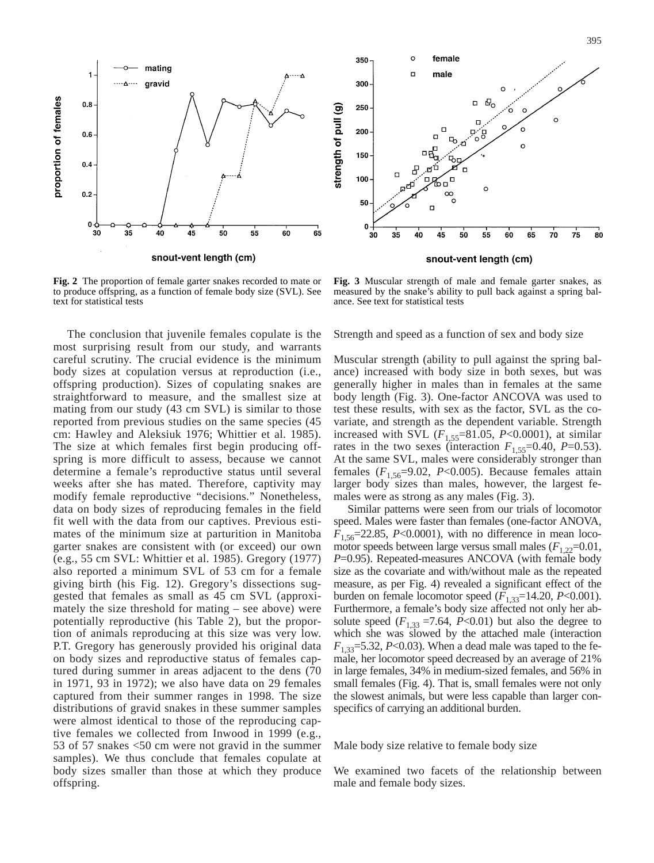

**Fig. 2** The proportion of female garter snakes recorded to mate or to produce offspring, as a function of female body size (SVL). See text for statistical tests

The conclusion that juvenile females copulate is the most surprising result from our study, and warrants careful scrutiny. The crucial evidence is the minimum body sizes at copulation versus at reproduction (i.e., offspring production). Sizes of copulating snakes are straightforward to measure, and the smallest size at mating from our study (43 cm SVL) is similar to those reported from previous studies on the same species (45 cm: Hawley and Aleksiuk 1976; Whittier et al. 1985). The size at which females first begin producing offspring is more difficult to assess, because we cannot determine a female's reproductive status until several weeks after she has mated. Therefore, captivity may modify female reproductive "decisions." Nonetheless, data on body sizes of reproducing females in the field fit well with the data from our captives. Previous estimates of the minimum size at parturition in Manitoba garter snakes are consistent with (or exceed) our own (e.g., 55 cm SVL: Whittier et al. 1985). Gregory (1977) also reported a minimum SVL of 53 cm for a female giving birth (his Fig. 12). Gregory's dissections suggested that females as small as 45 cm SVL (approximately the size threshold for mating – see above) were potentially reproductive (his Table 2), but the proportion of animals reproducing at this size was very low. P.T. Gregory has generously provided his original data on body sizes and reproductive status of females captured during summer in areas adjacent to the dens (70 in 1971, 93 in 1972); we also have data on 29 females captured from their summer ranges in 1998. The size distributions of gravid snakes in these summer samples were almost identical to those of the reproducing captive females we collected from Inwood in 1999 (e.g., 53 of 57 snakes <50 cm were not gravid in the summer samples). We thus conclude that females copulate at body sizes smaller than those at which they produce offspring.

**Fig. 3** Muscular strength of male and female garter snakes, as measured by the snake's ability to pull back against a spring balance. See text for statistical tests

Strength and speed as a function of sex and body size

Muscular strength (ability to pull against the spring balance) increased with body size in both sexes, but was generally higher in males than in females at the same body length (Fig. 3). One-factor ANCOVA was used to test these results, with sex as the factor, SVL as the covariate, and strength as the dependent variable. Strength increased with SVL  $(F_{1,55}=81.05, P<0.0001)$ , at similar rates in the two sexes (interaction  $F_{1,55}=0.40$ ,  $P=0.53$ ). At the same SVL, males were considerably stronger than females  $(F_{1.56} = 9.02, P < 0.005)$ . Because females attain larger body sizes than males, however, the largest females were as strong as any males (Fig. 3).

Similar patterns were seen from our trials of locomotor speed. Males were faster than females (one-factor ANOVA,  $F_{1.56}$ =22.85, *P*<0.0001), with no difference in mean locomotor speeds between large versus small males  $(F_{1,22}=0.01,$ *P*=0.95). Repeated-measures ANCOVA (with female body size as the covariate and with/without male as the repeated measure, as per Fig. 4) revealed a significant effect of the burden on female locomotor speed  $(F<sub>1,33</sub>=14.20, P<0.001)$ . Furthermore, a female's body size affected not only her absolute speed  $(F_{1,33} = 7.64, P < 0.01)$  but also the degree to which she was slowed by the attached male (interaction  $F_{1,33}=5.32, P<0.03$ ). When a dead male was taped to the female, her locomotor speed decreased by an average of 21% in large females, 34% in medium-sized females, and 56% in small females (Fig. 4). That is, small females were not only the slowest animals, but were less capable than larger conspecifics of carrying an additional burden.

Male body size relative to female body size

We examined two facets of the relationship between male and female body sizes.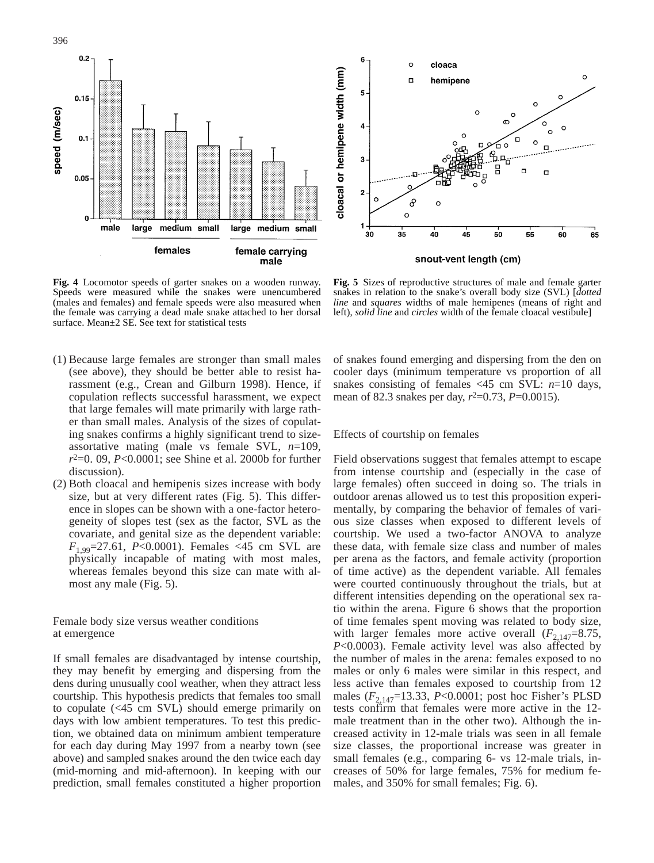



**Fig. 4** Locomotor speeds of garter snakes on a wooden runway. Speeds were measured while the snakes were unencumbered (males and females) and female speeds were also measured when the female was carrying a dead male snake attached to her dorsal surface. Mean±2 SE. See text for statistical tests

- (1) Because large females are stronger than small males (see above), they should be better able to resist harassment (e.g., Crean and Gilburn 1998). Hence, if copulation reflects successful harassment, we expect that large females will mate primarily with large rather than small males. Analysis of the sizes of copulating snakes confirms a highly significant trend to sizeassortative mating (male vs female SVL, *n*=109, *r*2=0. 09, *P*<0.0001; see Shine et al. 2000b for further discussion).
- (2) Both cloacal and hemipenis sizes increase with body size, but at very different rates (Fig. 5). This difference in slopes can be shown with a one-factor heterogeneity of slopes test (sex as the factor, SVL as the covariate, and genital size as the dependent variable: *F*1,99=27.61, *P*<0.0001). Females <45 cm SVL are physically incapable of mating with most males, whereas females beyond this size can mate with almost any male (Fig. 5).

Female body size versus weather conditions at emergence

If small females are disadvantaged by intense courtship, they may benefit by emerging and dispersing from the dens during unusually cool weather, when they attract less courtship. This hypothesis predicts that females too small to copulate (<45 cm SVL) should emerge primarily on days with low ambient temperatures. To test this prediction, we obtained data on minimum ambient temperature for each day during May 1997 from a nearby town (see above) and sampled snakes around the den twice each day (mid-morning and mid-afternoon). In keeping with our prediction, small females constituted a higher proportion

of snakes found emerging and dispersing from the den on cooler days (minimum temperature vs proportion of all snakes consisting of females <45 cm SVL: *n*=10 days, mean of 82.3 snakes per day,  $r^2=0.73$ ,  $P=0.0015$ ).

**Fig. 5** Sizes of reproductive structures of male and female garter snakes in relation to the snake's overall body size (SVL) [*dotted line* and *squares* widths of male hemipenes (means of right and left), *solid line* and *circles* width of the female cloacal vestibule]

## Effects of courtship on females

Field observations suggest that females attempt to escape from intense courtship and (especially in the case of large females) often succeed in doing so. The trials in outdoor arenas allowed us to test this proposition experimentally, by comparing the behavior of females of various size classes when exposed to different levels of courtship. We used a two-factor ANOVA to analyze these data, with female size class and number of males per arena as the factors, and female activity (proportion of time active) as the dependent variable. All females were courted continuously throughout the trials, but at different intensities depending on the operational sex ratio within the arena. Figure 6 shows that the proportion of time females spent moving was related to body size, with larger females more active overall  $(F_{2,147}=8.75,$ *P*<0.0003). Female activity level was also affected by the number of males in the arena: females exposed to no males or only 6 males were similar in this respect, and less active than females exposed to courtship from 12 males ( $F_{2,147}$ =13.33, *P*<0.0001; post hoc Fisher's PLSD tests confirm that females were more active in the 12 male treatment than in the other two). Although the increased activity in 12-male trials was seen in all female size classes, the proportional increase was greater in small females (e.g., comparing 6- vs 12-male trials, increases of 50% for large females, 75% for medium females, and 350% for small females; Fig. 6).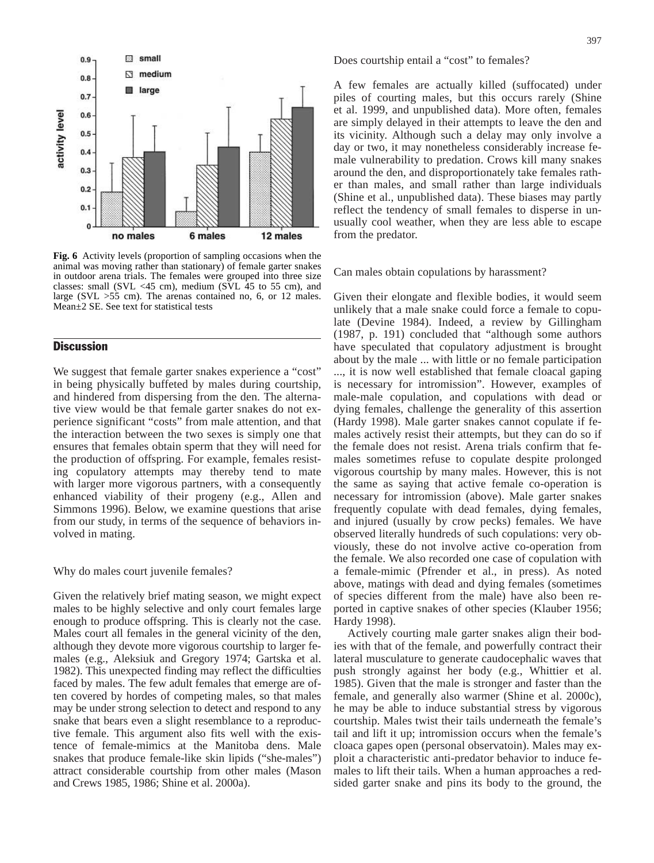

**Fig. 6** Activity levels (proportion of sampling occasions when the animal was moving rather than stationary) of female garter snakes in outdoor arena trials. The females were grouped into three size classes: small (SVL  $\langle 45 \text{ cm} \rangle$ , medium (SVL  $\overline{45}$  to 55 cm), and large (SVL  $>55$  cm). The arenas contained no, 6, or 12 males. Mean±2 SE. See text for statistical tests

# **Discussion**

We suggest that female garter snakes experience a "cost" in being physically buffeted by males during courtship, and hindered from dispersing from the den. The alternative view would be that female garter snakes do not experience significant "costs" from male attention, and that the interaction between the two sexes is simply one that ensures that females obtain sperm that they will need for the production of offspring. For example, females resisting copulatory attempts may thereby tend to mate with larger more vigorous partners, with a consequently enhanced viability of their progeny (e.g., Allen and Simmons 1996). Below, we examine questions that arise from our study, in terms of the sequence of behaviors involved in mating.

## Why do males court juvenile females?

Given the relatively brief mating season, we might expect males to be highly selective and only court females large enough to produce offspring. This is clearly not the case. Males court all females in the general vicinity of the den, although they devote more vigorous courtship to larger females (e.g., Aleksiuk and Gregory 1974; Gartska et al. 1982). This unexpected finding may reflect the difficulties faced by males. The few adult females that emerge are often covered by hordes of competing males, so that males may be under strong selection to detect and respond to any snake that bears even a slight resemblance to a reproductive female. This argument also fits well with the existence of female-mimics at the Manitoba dens. Male snakes that produce female-like skin lipids ("she-males") attract considerable courtship from other males (Mason and Crews 1985, 1986; Shine et al. 2000a).

Does courtship entail a "cost" to females?

A few females are actually killed (suffocated) under piles of courting males, but this occurs rarely (Shine et al. 1999, and unpublished data). More often, females are simply delayed in their attempts to leave the den and its vicinity. Although such a delay may only involve a day or two, it may nonetheless considerably increase female vulnerability to predation. Crows kill many snakes around the den, and disproportionately take females rather than males, and small rather than large individuals (Shine et al., unpublished data). These biases may partly reflect the tendency of small females to disperse in unusually cool weather, when they are less able to escape from the predator.

#### Can males obtain copulations by harassment?

Given their elongate and flexible bodies, it would seem unlikely that a male snake could force a female to copulate (Devine 1984). Indeed, a review by Gillingham (1987, p. 191) concluded that "although some authors have speculated that copulatory adjustment is brought about by the male ... with little or no female participation ..., it is now well established that female cloacal gaping is necessary for intromission". However, examples of male-male copulation, and copulations with dead or dying females, challenge the generality of this assertion (Hardy 1998). Male garter snakes cannot copulate if females actively resist their attempts, but they can do so if the female does not resist. Arena trials confirm that females sometimes refuse to copulate despite prolonged vigorous courtship by many males. However, this is not the same as saying that active female co-operation is necessary for intromission (above). Male garter snakes frequently copulate with dead females, dying females, and injured (usually by crow pecks) females. We have observed literally hundreds of such copulations: very obviously, these do not involve active co-operation from the female. We also recorded one case of copulation with a female-mimic (Pfrender et al., in press). As noted above, matings with dead and dying females (sometimes of species different from the male) have also been reported in captive snakes of other species (Klauber 1956; Hardy 1998).

Actively courting male garter snakes align their bodies with that of the female, and powerfully contract their lateral musculature to generate caudocephalic waves that push strongly against her body (e.g., Whittier et al. 1985). Given that the male is stronger and faster than the female, and generally also warmer (Shine et al. 2000c), he may be able to induce substantial stress by vigorous courtship. Males twist their tails underneath the female's tail and lift it up; intromission occurs when the female's cloaca gapes open (personal observatoin). Males may exploit a characteristic anti-predator behavior to induce females to lift their tails. When a human approaches a redsided garter snake and pins its body to the ground, the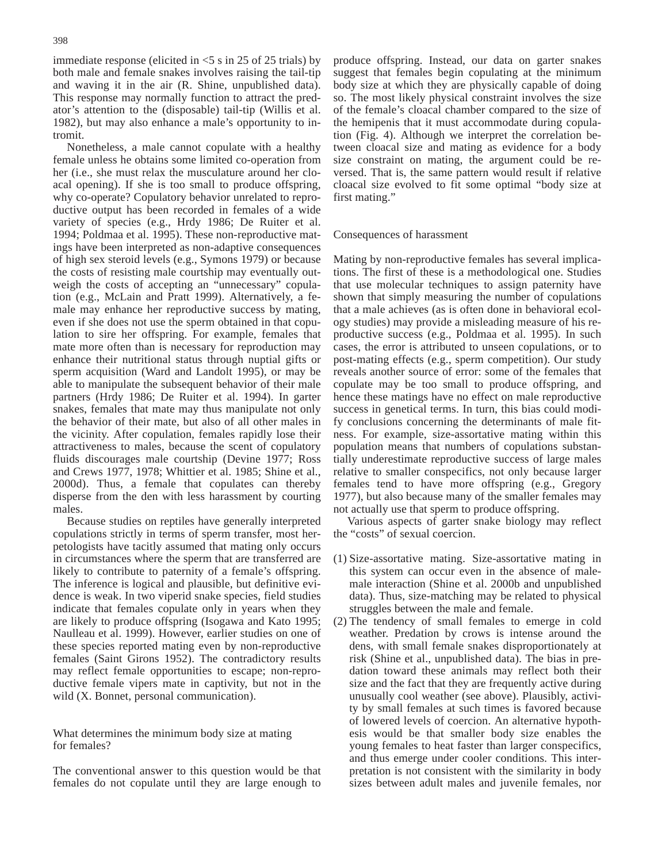immediate response (elicited in  $\leq$  5 s in 25 of 25 trials) by both male and female snakes involves raising the tail-tip and waving it in the air (R. Shine, unpublished data). This response may normally function to attract the predator's attention to the (disposable) tail-tip (Willis et al. 1982), but may also enhance a male's opportunity to intromit.

Nonetheless, a male cannot copulate with a healthy female unless he obtains some limited co-operation from her (i.e., she must relax the musculature around her cloacal opening). If she is too small to produce offspring, why co-operate? Copulatory behavior unrelated to reproductive output has been recorded in females of a wide variety of species (e.g., Hrdy 1986; De Ruiter et al. 1994; Poldmaa et al. 1995). These non-reproductive matings have been interpreted as non-adaptive consequences of high sex steroid levels (e.g., Symons 1979) or because the costs of resisting male courtship may eventually outweigh the costs of accepting an "unnecessary" copulation (e.g., McLain and Pratt 1999). Alternatively, a female may enhance her reproductive success by mating, even if she does not use the sperm obtained in that copulation to sire her offspring. For example, females that mate more often than is necessary for reproduction may enhance their nutritional status through nuptial gifts or sperm acquisition (Ward and Landolt 1995), or may be able to manipulate the subsequent behavior of their male partners (Hrdy 1986; De Ruiter et al. 1994). In garter snakes, females that mate may thus manipulate not only the behavior of their mate, but also of all other males in the vicinity. After copulation, females rapidly lose their attractiveness to males, because the scent of copulatory fluids discourages male courtship (Devine 1977; Ross and Crews 1977, 1978; Whittier et al. 1985; Shine et al., 2000d). Thus, a female that copulates can thereby disperse from the den with less harassment by courting males.

Because studies on reptiles have generally interpreted copulations strictly in terms of sperm transfer, most herpetologists have tacitly assumed that mating only occurs in circumstances where the sperm that are transferred are likely to contribute to paternity of a female's offspring. The inference is logical and plausible, but definitive evidence is weak. In two viperid snake species, field studies indicate that females copulate only in years when they are likely to produce offspring (Isogawa and Kato 1995; Naulleau et al. 1999). However, earlier studies on one of these species reported mating even by non-reproductive females (Saint Girons 1952). The contradictory results may reflect female opportunities to escape; non-reproductive female vipers mate in captivity, but not in the wild (X. Bonnet, personal communication).

What determines the minimum body size at mating for females?

The conventional answer to this question would be that females do not copulate until they are large enough to produce offspring. Instead, our data on garter snakes suggest that females begin copulating at the minimum body size at which they are physically capable of doing so. The most likely physical constraint involves the size of the female's cloacal chamber compared to the size of the hemipenis that it must accommodate during copulation (Fig. 4). Although we interpret the correlation between cloacal size and mating as evidence for a body size constraint on mating, the argument could be reversed. That is, the same pattern would result if relative cloacal size evolved to fit some optimal "body size at first mating."

## Consequences of harassment

Mating by non-reproductive females has several implications. The first of these is a methodological one. Studies that use molecular techniques to assign paternity have shown that simply measuring the number of copulations that a male achieves (as is often done in behavioral ecology studies) may provide a misleading measure of his reproductive success (e.g., Poldmaa et al. 1995). In such cases, the error is attributed to unseen copulations, or to post-mating effects (e.g., sperm competition). Our study reveals another source of error: some of the females that copulate may be too small to produce offspring, and hence these matings have no effect on male reproductive success in genetical terms. In turn, this bias could modify conclusions concerning the determinants of male fitness. For example, size-assortative mating within this population means that numbers of copulations substantially underestimate reproductive success of large males relative to smaller conspecifics, not only because larger females tend to have more offspring (e.g., Gregory 1977), but also because many of the smaller females may not actually use that sperm to produce offspring.

Various aspects of garter snake biology may reflect the "costs" of sexual coercion.

- (1) Size-assortative mating. Size-assortative mating in this system can occur even in the absence of malemale interaction (Shine et al. 2000b and unpublished data). Thus, size-matching may be related to physical struggles between the male and female.
- (2) The tendency of small females to emerge in cold weather. Predation by crows is intense around the dens, with small female snakes disproportionately at risk (Shine et al., unpublished data). The bias in predation toward these animals may reflect both their size and the fact that they are frequently active during unusually cool weather (see above). Plausibly, activity by small females at such times is favored because of lowered levels of coercion. An alternative hypothesis would be that smaller body size enables the young females to heat faster than larger conspecifics, and thus emerge under cooler conditions. This interpretation is not consistent with the similarity in body sizes between adult males and juvenile females, nor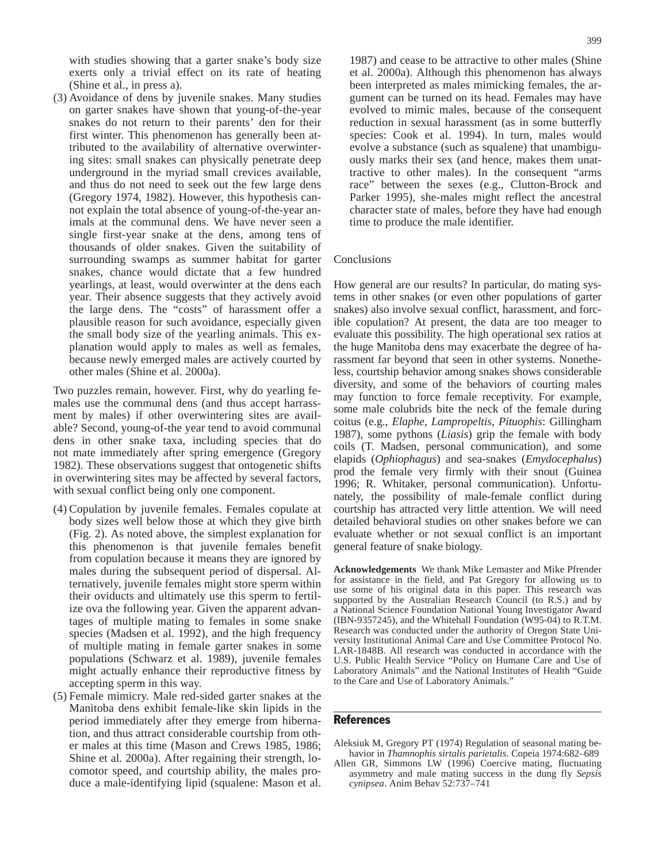with studies showing that a garter snake's body size exerts only a trivial effect on its rate of heating (Shine et al., in press a).

(3) Avoidance of dens by juvenile snakes. Many studies on garter snakes have shown that young-of-the-year snakes do not return to their parents' den for their first winter. This phenomenon has generally been attributed to the availability of alternative overwintering sites: small snakes can physically penetrate deep underground in the myriad small crevices available, and thus do not need to seek out the few large dens (Gregory 1974, 1982). However, this hypothesis cannot explain the total absence of young-of-the-year animals at the communal dens. We have never seen a single first-year snake at the dens, among tens of thousands of older snakes. Given the suitability of surrounding swamps as summer habitat for garter snakes, chance would dictate that a few hundred yearlings, at least, would overwinter at the dens each year. Their absence suggests that they actively avoid the large dens. The "costs" of harassment offer a plausible reason for such avoidance, especially given the small body size of the yearling animals. This explanation would apply to males as well as females, because newly emerged males are actively courted by other males (Shine et al. 2000a).

Two puzzles remain, however. First, why do yearling females use the communal dens (and thus accept harrassment by males) if other overwintering sites are available? Second, young-of-the year tend to avoid communal dens in other snake taxa, including species that do not mate immediately after spring emergence (Gregory 1982). These observations suggest that ontogenetic shifts in overwintering sites may be affected by several factors, with sexual conflict being only one component.

- (4) Copulation by juvenile females. Females copulate at body sizes well below those at which they give birth (Fig. 2). As noted above, the simplest explanation for this phenomenon is that juvenile females benefit from copulation because it means they are ignored by males during the subsequent period of dispersal. Alternatively, juvenile females might store sperm within their oviducts and ultimately use this sperm to fertilize ova the following year. Given the apparent advantages of multiple mating to females in some snake species (Madsen et al. 1992), and the high frequency of multiple mating in female garter snakes in some populations (Schwarz et al. 1989), juvenile females might actually enhance their reproductive fitness by accepting sperm in this way.
- (5) Female mimicry. Male red-sided garter snakes at the Manitoba dens exhibit female-like skin lipids in the period immediately after they emerge from hibernation, and thus attract considerable courtship from other males at this time (Mason and Crews 1985, 1986; Shine et al. 2000a). After regaining their strength, locomotor speed, and courtship ability, the males produce a male-identifying lipid (squalene: Mason et al.

1987) and cease to be attractive to other males (Shine et al. 2000a). Although this phenomenon has always been interpreted as males mimicking females, the argument can be turned on its head. Females may have evolved to mimic males, because of the consequent reduction in sexual harassment (as in some butterfly species: Cook et al. 1994). In turn, males would evolve a substance (such as squalene) that unambiguously marks their sex (and hence, makes them unattractive to other males). In the consequent "arms race" between the sexes (e.g., Clutton-Brock and Parker 1995), she-males might reflect the ancestral character state of males, before they have had enough time to produce the male identifier.

## Conclusions

How general are our results? In particular, do mating systems in other snakes (or even other populations of garter snakes) also involve sexual conflict, harassment, and forcible copulation? At present, the data are too meager to evaluate this possibility. The high operational sex ratios at the huge Manitoba dens may exacerbate the degree of harassment far beyond that seen in other systems. Nonetheless, courtship behavior among snakes shows considerable diversity, and some of the behaviors of courting males may function to force female receptivity. For example, some male colubrids bite the neck of the female during coitus (e.g., *Elaphe*, *Lampropeltis*, *Pituophis*: Gillingham 1987), some pythons (*Liasis*) grip the female with body coils (T. Madsen, personal communication), and some elapids (*Ophiophagus*) and sea-snakes (*Emydocephalus*) prod the female very firmly with their snout (Guinea 1996; R. Whitaker, personal communication). Unfortunately, the possibility of male-female conflict during courtship has attracted very little attention. We will need detailed behavioral studies on other snakes before we can evaluate whether or not sexual conflict is an important general feature of snake biology.

**Acknowledgements** We thank Mike Lemaster and Mike Pfrender for assistance in the field, and Pat Gregory for allowing us to use some of his original data in this paper. This research was supported by the Australian Research Council (to R.S.) and by a National Science Foundation National Young Investigator Award (IBN-9357245), and the Whitehall Foundation (W95-04) to R.T.M. Research was conducted under the authority of Oregon State University Institutional Animal Care and Use Committee Protocol No. LAR-1848B. All research was conducted in accordance with the U.S. Public Health Service "Policy on Humane Care and Use of Laboratory Animals" and the National Institutes of Health "Guide to the Care and Use of Laboratory Animals."

## References

Aleksiuk M, Gregory PT (1974) Regulation of seasonal mating behavior in *Thamnophis sirtalis parietalis*. Copeia 1974:682–689

Allen GR, Simmons LW (1996) Coercive mating, fluctuating asymmetry and male mating success in the dung fly *Sepsis cynipsea*. Anim Behav 52:737–741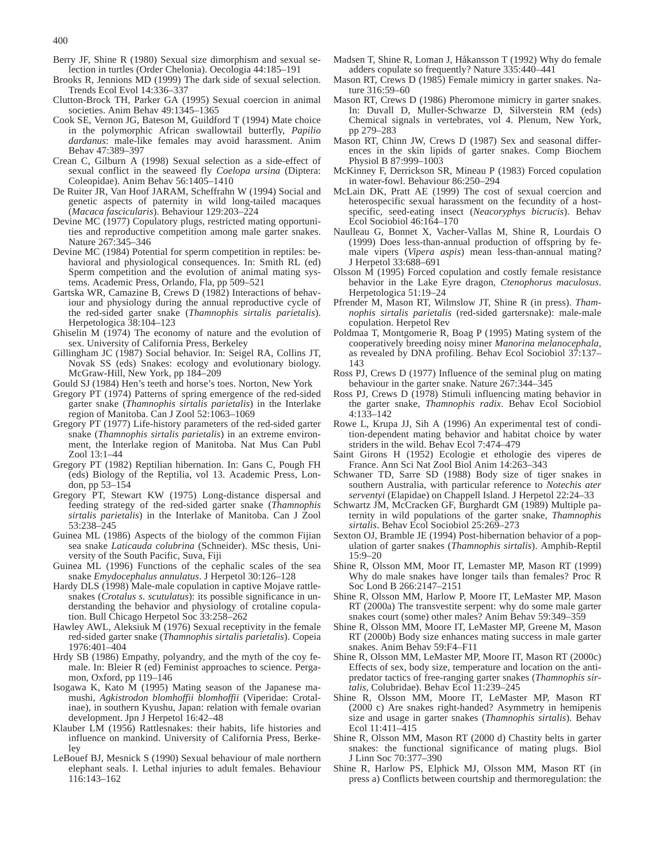Berry JF, Shine R (1980) Sexual size dimorphism and sexual selection in turtles (Order Chelonia). Oecologia 44:185–191

Brooks R, Jennions MD (1999) The dark side of sexual selection. Trends Ecol Evol 14:336–337

- Clutton-Brock TH, Parker GA (1995) Sexual coercion in animal societies. Anim Behav 49:1345–1365
- Cook SE, Vernon JG, Bateson M, Guildford T (1994) Mate choice in the polymorphic African swallowtail butterfly, *Papilio dardanus*: male-like females may avoid harassment. Anim Behav 47:389–397
- Crean C, Gilburn A (1998) Sexual selection as a side-effect of sexual conflict in the seaweed fly *Coelopa ursina* (Diptera: Coleopidae). Anim Behav 56:1405–1410
- De Ruiter JR, Van Hoof JARAM, Scheffrahn W (1994) Social and genetic aspects of paternity in wild long-tailed macaques (*Macaca fascicularis*). Behaviour 129:203–224
- Devine MC (1977) Copulatory plugs, restricted mating opportunities and reproductive competition among male garter snakes. Nature 267:345–346
- Devine MC (1984) Potential for sperm competition in reptiles: behavioral and physiological consequences. In: Smith RL (ed) Sperm competition and the evolution of animal mating systems. Academic Press, Orlando, Fla, pp 509–521
- Gartska WR, Camazine B, Crews D (1982) Interactions of behaviour and physiology during the annual reproductive cycle of the red-sided garter snake (*Thamnophis sirtalis parietalis*). Herpetologica 38:104–123
- Ghiselin M (1974) The economy of nature and the evolution of sex. University of California Press, Berkeley
- Gillingham JC (1987) Social behavior. In: Seigel RA, Collins JT, Novak SS (eds) Snakes: ecology and evolutionary biology. McGraw-Hill, New York, pp 184–209
- Gould SJ (1984) Hen's teeth and horse's toes. Norton, New York
- Gregory PT (1974) Patterns of spring emergence of the red-sided garter snake (*Thamnophis sirtalis parietalis*) in the Interlake region of Manitoba. Can J Zool 52:1063–1069
- Gregory PT (1977) Life-history parameters of the red-sided garter snake (*Thamnophis sirtalis parietalis*) in an extreme environment, the Interlake region of Manitoba. Nat Mus Can Publ Zool 13:1–44
- Gregory PT (1982) Reptilian hibernation. In: Gans C, Pough FH (eds) Biology of the Reptilia, vol 13. Academic Press, London, pp 53–154
- Gregory PT, Stewart KW (1975) Long-distance dispersal and feeding strategy of the red-sided garter snake (*Thamnophis sirtalis parietalis*) in the Interlake of Manitoba. Can J Zool 53:238–245
- Guinea ML (1986) Aspects of the biology of the common Fijian sea snake *Laticauda colubrina* (Schneider). MSc thesis, University of the South Pacific, Suva, Fiji
- Guinea ML (1996) Functions of the cephalic scales of the sea snake *Emydocephalus annulatus*. J Herpetol 30:126–128
- Hardy DLS (1998) Male-male copulation in captive Mojave rattlesnakes (*Crotalus s. scutulatus*): its possible significance in understanding the behavior and physiology of crotaline copulation. Bull Chicago Herpetol Soc 33:258–262
- Hawley AWL, Aleksiuk  $\overline{M}$  (1976) Sexual receptivity in the female red-sided garter snake (*Thamnophis sirtalis parietalis*). Copeia 1976:401–404
- Hrdy SB (1986) Empathy, polyandry, and the myth of the coy female. In: Bleier R (ed) Feminist approaches to science. Pergamon, Oxford, pp 119–146
- Isogawa K, Kato M (1995) Mating season of the Japanese mamushi, *Agkistrodon blomhoffii blomhoffii* (Viperidae: Crotalinae), in southern Kyushu, Japan: relation with female ovarian development. Jpn J Herpetol 16:42–48
- Klauber LM (1956) Rattlesnakes: their habits, life histories and influence on mankind. University of California Press, Berkeley
- LeBouef BJ, Mesnick S (1990) Sexual behaviour of male northern elephant seals. I. Lethal injuries to adult females. Behaviour 116:143–162
- Madsen T, Shine R, Loman J, Håkansson T (1992) Why do female adders copulate so frequently? Nature 335:440–441
- Mason RT, Crews D (1985) Female mimicry in garter snakes. Nature 316:59–60
- Mason RT, Crews D (1986) Pheromone mimicry in garter snakes. In: Duvall D, Muller-Schwarze D, Silverstein RM (eds) Chemical signals in vertebrates, vol 4. Plenum, New York, pp 279–283
- Mason RT, Chinn JW, Crews D (1987) Sex and seasonal differences in the skin lipids of garter snakes. Comp Biochem Physiol B 87:999-1003
- McKinney F, Derrickson SR, Mineau P (1983) Forced copulation in water-fowl. Behaviour 86:250–294
- McLain DK, Pratt AE (1999) The cost of sexual coercion and heterospecific sexual harassment on the fecundity of a hostspecific, seed-eating insect (*Neacoryphys bicrucis*). Behav Ecol Sociobiol 46:164–170
- Naulleau G, Bonnet X, Vacher-Vallas M, Shine R, Lourdais O (1999) Does less-than-annual production of offspring by female vipers (*Vipera aspis*) mean less-than-annual mating? J Herpetol 33:688–691
- Olsson M (1995) Forced copulation and costly female resistance behavior in the Lake Eyre dragon, *Ctenophorus maculosus*. Herpetologica 51:19–24
- Pfrender M, Mason RT, Wilmslow JT, Shine R (in press). *Thamnophis sirtalis parietalis* (red-sided gartersnake): male-male copulation. Herpetol Rev
- Poldmaa T, Montgomerie R, Boag P (1995) Mating system of the cooperatively breeding noisy miner *Manorina melanocephala*, as revealed by DNA profiling. Behav Ecol Sociobiol 37:137– 143
- Ross PJ, Crews D (1977) Influence of the seminal plug on mating behaviour in the garter snake. Nature 267:344–345
- Ross PJ, Crews D (1978) Stimuli influencing mating behavior in the garter snake, *Thamnophis radix*. Behav Ecol Sociobiol 4:133–142
- Rowe L, Krupa JJ, Sih A (1996) An experimental test of condition-dependent mating behavior and habitat choice by water striders in the wild. Behav Ecol 7:474–479
- Saint Girons H (1952) Ecologie et ethologie des viperes de France. Ann Sci Nat Zool Biol Anim 14:263–343
- Schwaner TD, Sarre SD (1988) Body size of tiger snakes in southern Australia, with particular reference to *Notechis ater serventyi* (Elapidae) on Chappell Island. J Herpetol 22:24–33
- Schwartz JM, McCracken GF, Burghardt GM (1989) Multiple paternity in wild populations of the garter snake, *Thamnophis sirtalis*. Behav Ecol Sociobiol 25:269–273
- Sexton OJ, Bramble JE (1994) Post-hibernation behavior of a population of garter snakes (*Thamnophis sirtalis*). Amphib-Reptil  $15.9 - 20$
- Shine R, Olsson MM, Moor IT, Lemaster MP, Mason RT (1999) Why do male snakes have longer tails than females? Proc R Soc Lond B 266:2147–2151
- Shine R, Olsson MM, Harlow P, Moore IT, LeMaster MP, Mason RT (2000a) The transvestite serpent: why do some male garter snakes court (some) other males? Anim Behav 59:349–359
- Shine R, Olsson MM, Moore IT, LeMaster MP, Greene M, Mason RT (2000b) Body size enhances mating success in male garter snakes. Anim Behav 59:F4–F11
- Shine R, Olsson MM, LeMaster MP, Moore IT, Mason RT (2000c) Effects of sex, body size, temperature and location on the antipredator tactics of free-ranging garter snakes (*Thamnophis sirtalis*, Colubridae). Behav Ecol 11:239–245
- Shine R, Olsson MM, Moore IT, LeMaster MP, Mason RT (2000 c) Are snakes right-handed? Asymmetry in hemipenis size and usage in garter snakes (*Thamnophis sirtalis*). Behav Ecol 11:411–415
- Shine R, Olsson MM, Mason RT (2000 d) Chastity belts in garter snakes: the functional significance of mating plugs. Biol J Linn Soc 70:377–390
- Shine R, Harlow PS, Elphick MJ, Olsson MM, Mason RT (in press a) Conflicts between courtship and thermoregulation: the